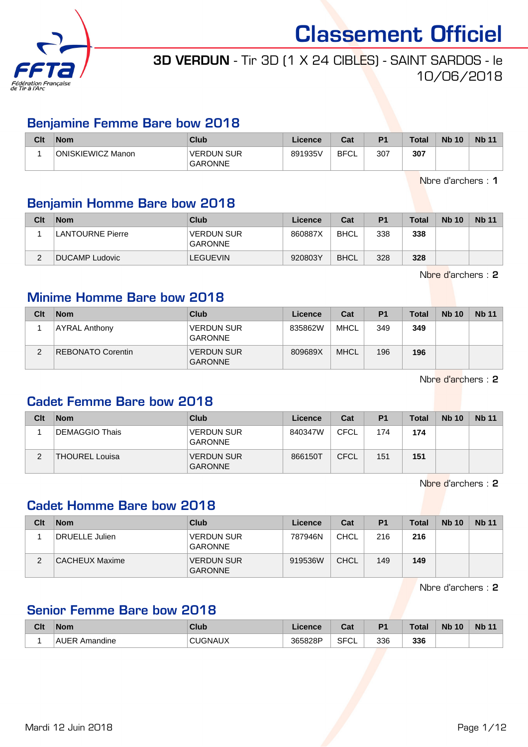

## 3D VERDUN - Tir 3D (1 X 24 CIBLES) - SAINT SARDOS - le 10/06/2018

#### Benjamine Femme Bare bow 2018

| Clt | <b>Nom</b>        | Club                                | Licence | Cat  | D <sub>1</sub> | <b>Total</b> | <b>Nb 10</b> | <b>Nb 11</b> |
|-----|-------------------|-------------------------------------|---------|------|----------------|--------------|--------------|--------------|
|     | ONISKIEWICZ Manon | <b>VERDUN SUR</b><br><b>GARONNE</b> | 891935V | BFCL | 307            | 307          |              |              |

Nbre d'archers : 1

#### Benjamin Homme Bare bow 2018

| Clt | <b>Nom</b>       | Club                                | Licence | Cat         | P <sub>1</sub> | <b>Total</b> | <b>Nb 10</b> | <b>Nb 11</b> |
|-----|------------------|-------------------------------------|---------|-------------|----------------|--------------|--------------|--------------|
|     | LANTOURNE Pierre | <b>VERDUN SUR</b><br><b>GARONNE</b> | 860887X | <b>BHCL</b> | 338            | 338          |              |              |
|     | DUCAMP Ludovic   | <b>LEGUEVIN</b>                     | 920803Y | <b>BHCL</b> | 328            | 328          |              |              |

Nbre d'archers : 2

#### Minime Homme Bare bow 2018

| Clt | <b>Nom</b>           | <b>Club</b>                         | Licence | Cat         | P <sub>1</sub> | <b>Total</b> | <b>Nb 10</b> | <b>Nb</b> 11 |
|-----|----------------------|-------------------------------------|---------|-------------|----------------|--------------|--------------|--------------|
|     | <b>AYRAL Anthony</b> | <b>VERDUN SUR</b><br><b>GARONNE</b> | 835862W | <b>MHCL</b> | 349            | 349          |              |              |
| C   | REBONATO Corentin    | <b>VERDUN SUR</b><br><b>GARONNE</b> | 809689X | <b>MHCL</b> | 196            | 196          |              |              |

Nbre d'archers : 2

#### Cadet Femme Bare bow 2018

| Clt | <b>Nom</b>            | Club                                | Licence | Cat         | P <sub>1</sub> | <b>Total</b> | <b>Nb 10</b> | <b>Nb 11</b> |
|-----|-----------------------|-------------------------------------|---------|-------------|----------------|--------------|--------------|--------------|
|     | DEMAGGIO Thais        | <b>VERDUN SUR</b><br><b>GARONNE</b> | 840347W | <b>CFCL</b> | 174            | 174          |              |              |
| ົ   | <b>THOUREL Louisa</b> | VERDUN SUR<br>GARONNE               | 866150T | CFCL        | 151            | 151          |              |              |

Nbre d'archers : 2

#### Cadet Homme Bare bow 2018

| Clt    | <b>Nom</b>     | Club                                | Licence | Cat         | <b>P1</b> | <b>Total</b> | <b>Nb 10</b> | <b>Nb 11</b> |
|--------|----------------|-------------------------------------|---------|-------------|-----------|--------------|--------------|--------------|
|        | DRUELLE Julien | VERDUN SUR<br>GARONNE               | 787946N | CHCL        | 216       | 216          |              |              |
| ◠<br>∠ | CACHEUX Maxime | <b>VERDUN SUR</b><br><b>GARONNE</b> | 919536W | <b>CHCL</b> | 149       | 149          |              |              |

Nbre d'archers : 2

#### Senior Femme Bare bow 2018

| <b>Clt</b> | <b>Nom</b>               | <b>Club</b>     | <b>_icence</b> | r.,<br>ual        | D <sub>1</sub> | <b>Total</b> | <b>Nb</b><br>10 | <b>Nb</b> |
|------------|--------------------------|-----------------|----------------|-------------------|----------------|--------------|-----------------|-----------|
|            | Amandine<br>$\mathbf{v}$ | к<br>эN,<br>אשר | 365828P<br>۔ ت | <b>SFCI</b><br>◡∟ | 336            | 336          |                 |           |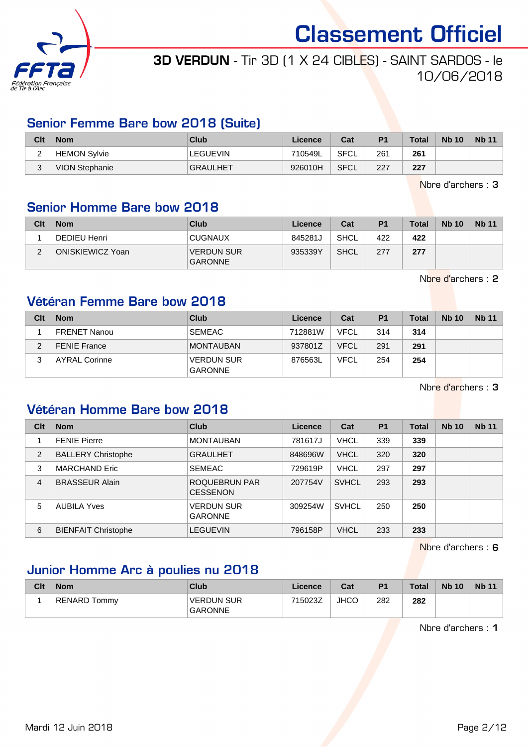

## 3D VERDUN - Tir 3D (1 X 24 CIBLES) - SAINT SARDOS - le 10/06/2018

#### Senior Femme Bare bow 2018 (Suite)

| Clt | Nom            | Club            | Licence | Cat         | P <sub>1</sub> | Total | <b>Nb 10</b> | <b>Nb 11</b> |
|-----|----------------|-----------------|---------|-------------|----------------|-------|--------------|--------------|
| -   | HEMON Sylvie   | LEGUEVIN        | 710549L | <b>SFCL</b> | 261            | 261   |              |              |
| ບ   | VION Stephanie | <b>GRAULHET</b> | 926010H | SFCL        | 227            | 227   |              |              |

Nbre d'archers : 3

#### Senior Homme Bare bow 2018

| Clt | <b>Nom</b>       | Club                         | Licence | Cat         | P <sub>1</sub> | <b>Total</b> | <b>Nb 10</b> | <b>Nb 11</b> |
|-----|------------------|------------------------------|---------|-------------|----------------|--------------|--------------|--------------|
|     | DEDIEU Henri     | <b>CUGNAUX</b>               | 845281J | SHCL        | 422            | 422          |              |              |
|     | ONISKIEWICZ Yoan | VERDUN SUR<br><b>GARONNE</b> | 935339Y | <b>SHCL</b> | 277            | 277          |              |              |

Nbre d'archers : 2

#### Vétéran Femme Bare bow 2018

| Clt | <b>Nom</b>           | Club                                | Licence | Cat         | P <sub>1</sub> | <b>Total</b> | <b>Nb 10</b> | <b>Nb 11</b> |
|-----|----------------------|-------------------------------------|---------|-------------|----------------|--------------|--------------|--------------|
|     | <b>FRENET Nanou</b>  | <b>SEMEAC</b>                       | 712881W | <b>VFCL</b> | 314            | 314          |              |              |
| ◠   | <b>FENIE France</b>  | <b>MONTAUBAN</b>                    | 937801Z | <b>VFCL</b> | 291            | 291          |              |              |
|     | <b>AYRAL Corinne</b> | <b>VERDUN SUR</b><br><b>GARONNE</b> | 876563L | <b>VFCL</b> | 254            | 254          |              |              |

Nbre d'archers : 3

#### Vétéran Homme Bare bow 2018

| Clt | <b>Nom</b>                 | Club                                | Licence | Cat          | <b>P1</b> | <b>Total</b> | <b>Nb 10</b> | <b>Nb 11</b> |
|-----|----------------------------|-------------------------------------|---------|--------------|-----------|--------------|--------------|--------------|
|     | <b>FENIE Pierre</b>        | <b>MONTAUBAN</b>                    | 781617J | <b>VHCL</b>  | 339       | 339          |              |              |
| 2   | <b>BALLERY Christophe</b>  | <b>GRAULHET</b>                     | 848696W | <b>VHCL</b>  | 320       | 320          |              |              |
| 3   | <b>MARCHAND Eric</b>       | <b>SEMEAC</b>                       | 729619P | <b>VHCL</b>  | 297       | 297          |              |              |
| 4   | <b>BRASSEUR Alain</b>      | ROQUEBRUN PAR<br><b>CESSENON</b>    | 207754V | <b>SVHCL</b> | 293       | 293          |              |              |
| 5   | <b>AUBILA Yves</b>         | <b>VERDUN SUR</b><br><b>GARONNE</b> | 309254W | <b>SVHCL</b> | 250       | 250          |              |              |
| 6   | <b>BIENFAIT Christophe</b> | <b>LEGUEVIN</b>                     | 796158P | <b>VHCL</b>  | 233       | 233          |              |              |

Nbre d'archers : 6

#### Junior Homme Arc à poulies nu 2018

| Clt | <b>Nom</b>          | Club                                | Licence | Cat         | P <sub>1</sub> | <b>Total</b> | <b>Nb 10</b> | <b>Nb 11</b> |
|-----|---------------------|-------------------------------------|---------|-------------|----------------|--------------|--------------|--------------|
|     | <b>RENARD Tommy</b> | <b>VERDUN SUR</b><br><b>GARONNE</b> | 715023Z | <b>JHCC</b> | 282            | 282          |              |              |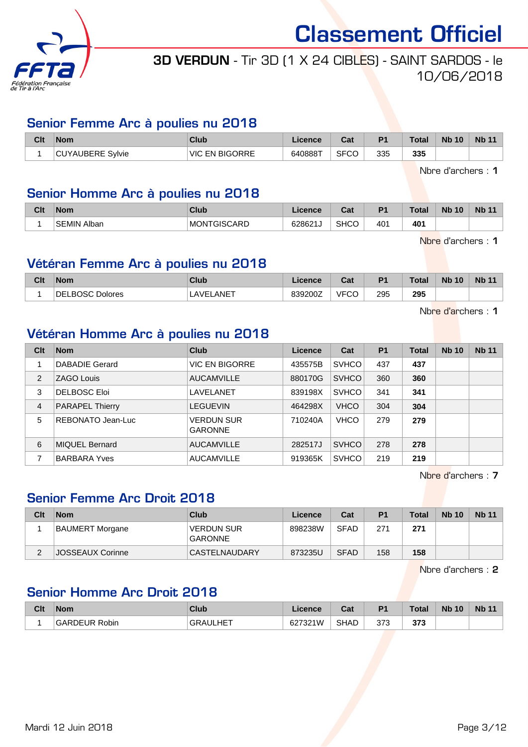

## 3D VERDUN - Tir 3D (1 X 24 CIBLES) - SAINT SARDOS - le 10/06/2018

#### Senior Femme Arc à poulies nu 2018

| Clt | <b>Nom</b>              | Club                     | Licence | ີລະ<br>uai  | D <sub>1</sub> | <b>Total</b> | <b>Nb 10</b> | <b>Nb 11</b> |
|-----|-------------------------|--------------------------|---------|-------------|----------------|--------------|--------------|--------------|
|     | Svlvie<br>'AUBERE<br>◡◡ | <b>EN BIGORRE</b><br>VIC | 640888T | <b>SFCC</b> | 335            | 335          |              |              |

Nbre d'archers : 1

#### Senior Homme Arc à poulies nu 2018

| Clt | <b>Nom</b>            | Club               | Licence | $\sim$<br>va. | D.  | Total | <b>Nb</b><br>$\overline{10}$ | <b>Nb</b> |
|-----|-----------------------|--------------------|---------|---------------|-----|-------|------------------------------|-----------|
|     | Alban<br><b>SEMIN</b> | <b>MONTGISCARD</b> | 628621J | <b>SHCC</b>   | 401 | 401   |                              |           |

Nbre d'archers : 1

#### Vétéran Femme Arc à poulies nu 2018

| Clt | <b>Nom</b>              | Club      | Licence | $R_{\rm eff}$<br>ual | P <sub>1</sub> | Total | <b>Nb 10</b> | <b>Nb 11</b> |
|-----|-------------------------|-----------|---------|----------------------|----------------|-------|--------------|--------------|
|     | DEL<br>_BOSC<br>Dolores | LAVELANET | 839200Z | <b>VFCC</b><br>UC    | 295            | 295   |              |              |

Nbre d'archers : 1

#### Vétéran Homme Arc à poulies nu 2018

| Clt | <b>Nom</b>             | Club                                | Licence | Cat          | P <sub>1</sub> | Total | <b>Nb 10</b> | <b>Nb 11</b> |
|-----|------------------------|-------------------------------------|---------|--------------|----------------|-------|--------------|--------------|
|     | DABADIE Gerard         | <b>VIC EN BIGORRE</b>               | 435575B | <b>SVHCO</b> | 437            | 437   |              |              |
| 2   | <b>ZAGO Louis</b>      | <b>AUCAMVILLE</b>                   | 880170G | <b>SVHCO</b> | 360            | 360   |              |              |
| 3   | <b>DELBOSC Eloi</b>    | LAVELANET                           | 839198X | <b>SVHCO</b> | 341            | 341   |              |              |
| 4   | <b>PARAPEL Thierry</b> | <b>LEGUEVIN</b>                     | 464298X | <b>VHCO</b>  | 304            | 304   |              |              |
| 5   | REBONATO Jean-Luc      | <b>VERDUN SUR</b><br><b>GARONNE</b> | 710240A | <b>VHCO</b>  | 279            | 279   |              |              |
| 6   | <b>MIQUEL Bernard</b>  | <b>AUCAMVILLE</b>                   | 282517J | <b>SVHCO</b> | 278            | 278   |              |              |
|     | <b>BARBARA Yves</b>    | <b>AUCAMVILLE</b>                   | 919365K | <b>SVHCO</b> | 219            | 219   |              |              |

Nbre d'archers : 7

#### Senior Femme Arc Droit 2018

| Clt | <b>Nom</b>       | Club                         | Licence | Cat         | P <sub>1</sub> | <b>Total</b> | <b>Nb 10</b> | <b>Nb 11</b> |
|-----|------------------|------------------------------|---------|-------------|----------------|--------------|--------------|--------------|
|     | BAUMERT Morgane  | <b>VERDUN SUR</b><br>GARONNE | 898238W | <b>SFAD</b> | 271            | 271          |              |              |
|     | JOSSEAUX Corinne | CASTELNAUDARY                | 873235U | <b>SFAD</b> | 158            | 158          |              |              |

Nbre d'archers : 2

#### Senior Homme Arc Droit 2018

| Clt | <b>Nom</b>           | Club               | Licence | r.,<br>val  | P <sub>1</sub> | <b>Total</b> | <b>Nb</b><br>10 <sup>°</sup> | <b>Nb 11</b> |
|-----|----------------------|--------------------|---------|-------------|----------------|--------------|------------------------------|--------------|
|     | <b>GARDEUR Robin</b> | <b>HET</b><br>GRAI | 627321W | <b>SHAD</b> | 373            | っっっ<br>ა დ   |                              |              |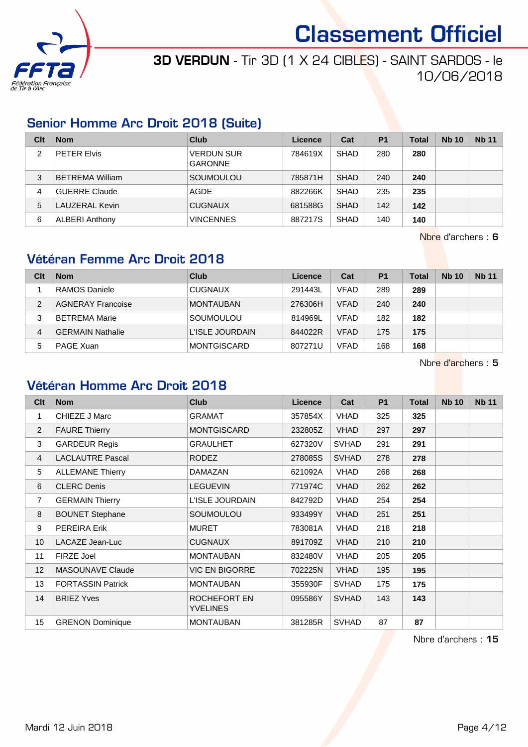

3D VERDUN - Tir 3D (1 X 24 CIBLES) - SAINT SARDOS - le 10/06/2018

#### Senior Homme Arc Droit 2018 (Suite)

| Clt | <b>Nom</b>             | Club                                | Licence | Cat         | P <sub>1</sub> | Total | <b>Nb 10</b> | <b>Nb 11</b> |
|-----|------------------------|-------------------------------------|---------|-------------|----------------|-------|--------------|--------------|
| 2   | <b>PETER Elvis</b>     | <b>VERDUN SUR</b><br><b>GARONNE</b> | 784619X | <b>SHAD</b> | 280            | 280   |              |              |
| 3   | <b>BETREMA William</b> | SOUMOULOU                           | 785871H | <b>SHAD</b> | 240            | 240   |              |              |
| 4   | GUERRE Claude          | AGDE                                | 882266K | <b>SHAD</b> | 235            | 235   |              |              |
| 5   | LAUZERAL Kevin         | <b>CUGNAUX</b>                      | 681588G | <b>SHAD</b> | 142            | 142   |              |              |
| 6   | <b>ALBERI Anthony</b>  | <b>VINCENNES</b>                    | 887217S | <b>SHAD</b> | 140            | 140   |              |              |

Nbre d'archers : 6

#### Vétéran Femme Arc Droit 2018

| Clt | <b>Nom</b>               | Club               | Licence | Cat         | P <sub>1</sub> | <b>Total</b> | <b>Nb 10</b> | <b>Nb 11</b> |
|-----|--------------------------|--------------------|---------|-------------|----------------|--------------|--------------|--------------|
|     | RAMOS Daniele            | <b>CUGNAUX</b>     | 291443L | <b>VFAD</b> | 289            | 289          |              |              |
| 2   | <b>AGNERAY Francoise</b> | <b>MONTAUBAN</b>   | 276306H | <b>VFAD</b> | 240            | 240          |              |              |
| 3   | <b>BETREMA Marie</b>     | SOUMOULOU          | 814969L | <b>VFAD</b> | 182            | 182          |              |              |
| 4   | <b>GERMAIN Nathalie</b>  | L'ISLE JOURDAIN    | 844022R | <b>VFAD</b> | 175            | 175          |              |              |
| 5   | <b>PAGE Xuan</b>         | <b>MONTGISCARD</b> | 807271U | <b>VFAD</b> | 168            | 168          |              |              |

Nbre d'archers : 5

#### Vétéran Homme Arc Droit 2018

| Clt            | <b>Nom</b>               | <b>Club</b>                     | Licence | Cat          | P <sub>1</sub> | <b>Total</b> | <b>Nb 10</b> | <b>Nb 11</b> |
|----------------|--------------------------|---------------------------------|---------|--------------|----------------|--------------|--------------|--------------|
| 1              | CHIEZE J Marc            | <b>GRAMAT</b>                   | 357854X | <b>VHAD</b>  | 325            | 325          |              |              |
| $\overline{2}$ | <b>FAURE Thierry</b>     | <b>MONTGISCARD</b>              | 232805Z | <b>VHAD</b>  | 297            | 297          |              |              |
| 3              | <b>GARDEUR Regis</b>     | <b>GRAULHET</b>                 | 627320V | <b>SVHAD</b> | 291            | 291          |              |              |
| $\overline{4}$ | <b>LACLAUTRE Pascal</b>  | <b>RODEZ</b>                    | 278085S | <b>SVHAD</b> | 278            | 278          |              |              |
| 5              | <b>ALLEMANE Thierry</b>  | DAMAZAN                         | 621092A | <b>VHAD</b>  | 268            | 268          |              |              |
| 6              | <b>CLERC Denis</b>       | <b>LEGUEVIN</b>                 | 771974C | VHAD         | 262            | 262          |              |              |
| $\overline{7}$ | <b>GERMAIN Thierry</b>   | L'ISLE JOURDAIN                 | 842792D | <b>VHAD</b>  | 254            | 254          |              |              |
| 8              | <b>BOUNET Stephane</b>   | SOUMOULOU                       | 933499Y | <b>VHAD</b>  | 251            | 251          |              |              |
| 9              | <b>PEREIRA Erik</b>      | <b>MURET</b>                    | 783081A | <b>VHAD</b>  | 218            | 218          |              |              |
| 10             | LACAZE Jean-Luc          | <b>CUGNAUX</b>                  | 891709Z | <b>VHAD</b>  | 210            | 210          |              |              |
| 11             | FIRZE Joel               | <b>MONTAUBAN</b>                | 832480V | <b>VHAD</b>  | 205            | 205          |              |              |
| 12             | <b>MASOUNAVE Claude</b>  | <b>VIC EN BIGORRE</b>           | 702225N | <b>VHAD</b>  | 195            | 195          |              |              |
| 13             | <b>FORTASSIN Patrick</b> | <b>MONTAUBAN</b>                | 355930F | <b>SVHAD</b> | 175            | 175          |              |              |
| 14             | <b>BRIEZ Yves</b>        | ROCHEFORT EN<br><b>YVELINES</b> | 095586Y | <b>SVHAD</b> | 143            | 143          |              |              |
| 15             | <b>GRENON Dominique</b>  | <b>MONTAUBAN</b>                | 381285R | <b>SVHAD</b> | 87             | 87           |              |              |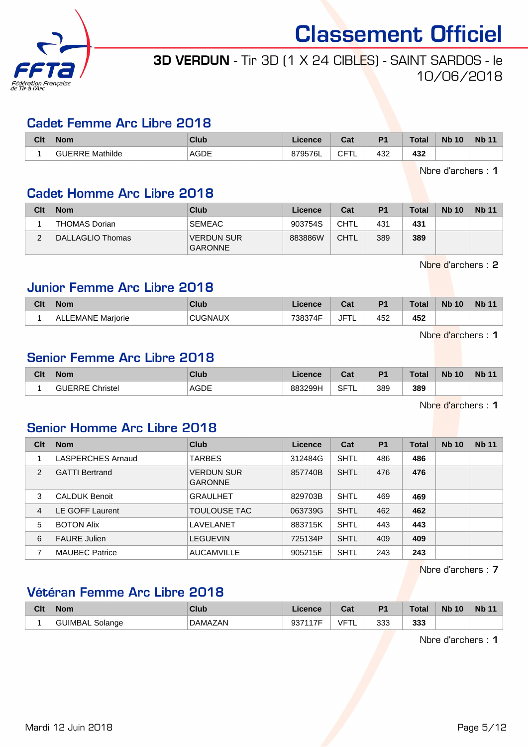

## 3D VERDUN - Tir 3D (1 X 24 CIBLES) - SAINT SARDOS - le 10/06/2018

#### Cadet Femme Arc Libre 2018

| Clt | <b>Nom</b>      | Club                | Licence | $T - 1$<br>υαι    | D <sub>1</sub>       | <b>Total</b>         | <b>Nb</b><br>10 | <b>Nb</b> |
|-----|-----------------|---------------------|---------|-------------------|----------------------|----------------------|-----------------|-----------|
|     | Mathilde<br>┚┚┖ | <b>AGDE</b><br>____ | 379576L | ◠⊏⊤<br>ا ب<br>╶╹┕ | 432<br>$\sim$ $\sim$ | 432<br>$\sim$ $\sim$ |                 |           |

Nbre d'archers : 1

#### Cadet Homme Arc Libre 2018

| Clt    | <b>Nom</b>       | Club                                | Licence | Cat  | P <sub>1</sub> | Total | <b>Nb 10</b> | <b>Nb 11</b> |
|--------|------------------|-------------------------------------|---------|------|----------------|-------|--------------|--------------|
|        | THOMAS Dorian    | <b>SEMEAC</b>                       | 903754S | CHTL | 431            | 431   |              |              |
| $\sim$ | DALLAGLIO Thomas | <b>VERDUN SUR</b><br><b>GARONNE</b> | 883886W | CHTL | 389            | 389   |              |              |

Nbre d'archers : 2

#### Junior Femme Arc Libre 2018

| Clt | <b>Nom</b>                  | Club | icence                | ่∩ื่∽+<br>ual   | D <sub>1</sub> | $T0$ tol<br>∣ ∪ldi | <b>N<sub>b</sub></b><br>10 | <b>Nb 11</b> |
|-----|-----------------------------|------|-----------------------|-----------------|----------------|--------------------|----------------------------|--------------|
|     | . FMANF "<br>Mariorie<br>ΑI |      | 700074F<br>ו⊿י<br>הה. | <b>JFT</b><br>╺ | 452            | 452                |                            |              |

Nbre d'archers : 1

#### Senior Femme Arc Libre 2018

| Clt | <b>Nom</b>    | Club        | Licence | ◠∼<br>ual   | P <sub>1</sub> | <b>Total</b> | 10<br><b>Nb</b> | <b>Nb 11</b> |
|-----|---------------|-------------|---------|-------------|----------------|--------------|-----------------|--------------|
|     | Christel<br>. | <b>AGDE</b> | 883299H | <b>SFTL</b> | 389            | 389          |                 |              |

Nbre d'archers : 1

#### Senior Homme Arc Libre 2018

| Clt | <b>Nom</b>               | Club                                | Licence | Cat         | P <sub>1</sub> | Total | <b>Nb 10</b> | <b>Nb 11</b> |
|-----|--------------------------|-------------------------------------|---------|-------------|----------------|-------|--------------|--------------|
|     | <b>LASPERCHES Arnaud</b> | <b>TARBES</b>                       | 312484G | <b>SHTL</b> | 486            | 486   |              |              |
| 2   | <b>GATTI Bertrand</b>    | <b>VERDUN SUR</b><br><b>GARONNE</b> | 857740B | <b>SHTL</b> | 476            | 476   |              |              |
| 3   | <b>CALDUK Benoit</b>     | <b>GRAULHET</b>                     | 829703B | SHTL        | 469            | 469   |              |              |
| 4   | LE GOFF Laurent          | <b>TOULOUSE TAC</b>                 | 063739G | SHTL        | 462            | 462   |              |              |
| 5   | <b>BOTON Alix</b>        | LAVELANET                           | 883715K | SHTL        | 443            | 443   |              |              |
| 6   | <b>FAURE Julien</b>      | <b>LEGUEVIN</b>                     | 725134P | SHTL        | 409            | 409   |              |              |
|     | <b>MAUBEC Patrice</b>    | <b>AUCAMVILLE</b>                   | 905215E | <b>SHTL</b> | 243            | 243   |              |              |

Nbre d'archers : 7

### Vétéran Femme Arc Libre 2018

| <b>Clt</b> | <b>Nom</b>      | Club           | Licence         | <b>Tat</b><br>⊍ou | D <sub>4</sub> | Total | <b>Nb</b><br>10 | <b>Nb 11</b> |
|------------|-----------------|----------------|-----------------|-------------------|----------------|-------|-----------------|--------------|
|            | GUIMBAL Solange | <b>DAMAZAN</b> | 027447E<br>୬୬ । | IET               | 333            | 333   |                 |              |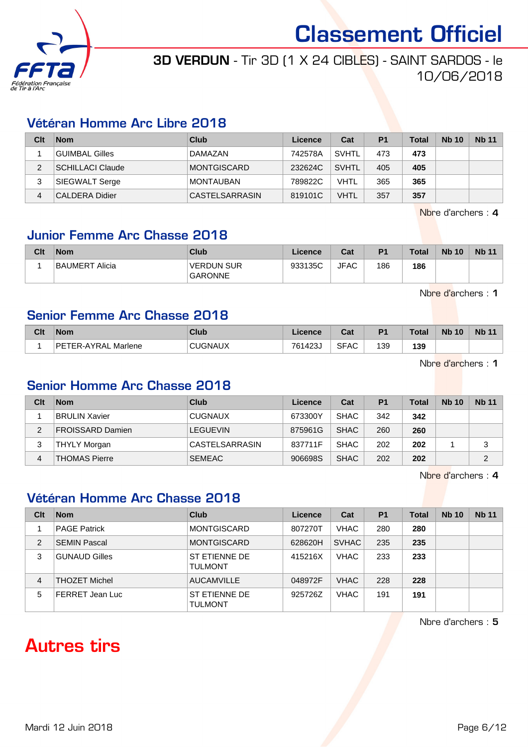

### 3D VERDUN - Tir 3D (1 X 24 CIBLES) - SAINT SARDOS - le 10/06/2018

#### Vétéran Homme Arc Libre 2018

| Clt | <b>Nom</b>              | Club             | Licence | Cat          | P <sub>1</sub> | <b>Total</b> | <b>Nb 10</b> | <b>Nb 11</b> |
|-----|-------------------------|------------------|---------|--------------|----------------|--------------|--------------|--------------|
|     | <b>GUIMBAL Gilles</b>   | DAMAZAN          | 742578A | <b>SVHTL</b> | 473            | 473          |              |              |
| っ   | <b>SCHILLACI Claude</b> | MONTGISCARD      | 232624C | <b>SVHTL</b> | 405            | 405          |              |              |
| 3   | SIEGWALT Serge          | <b>MONTAUBAN</b> | 789822C | <b>VHTL</b>  | 365            | 365          |              |              |
| 4   | <b>CALDERA Didier</b>   | CASTELSARRASIN   | 819101C | <b>VHTL</b>  | 357            | 357          |              |              |

Nbre d'archers : 4

#### Junior Femme Arc Chasse 2018

| Clt | <b>Nom</b>     | Club                                | ∟icence | Cat         | P <sub>1</sub> | Total | <b>Nb 10</b> | <b>Nb 11</b> |
|-----|----------------|-------------------------------------|---------|-------------|----------------|-------|--------------|--------------|
|     | BAUMERT Alicia | <b>VERDUN SUR</b><br><b>GARONNE</b> | 933135C | <b>JFAC</b> | 186            | 186   |              |              |

Nbre d'archers : 1

#### Senior Femme Arc Chasse 2018

| Clt | <b>Nom</b>               | Club           | .icence | ◠⌒፥<br>val  | D <sub>1</sub> | <b>Total</b> | <b>Nb</b><br>10 | <b>N<sub>b</sub></b> |
|-----|--------------------------|----------------|---------|-------------|----------------|--------------|-----------------|----------------------|
|     | DE.<br>TER-AYRAL Marlene | <b>CUGNAUX</b> | 761423  | <b>SFAC</b> | 139            | 139          |                 |                      |

Nbre d'archers : 1

#### Senior Homme Arc Chasse 2018

| Clt | <b>Nom</b>              | Club            | Licence | Cat         | P <sub>1</sub> | Total | <b>Nb 10</b> | <b>Nb 11</b> |
|-----|-------------------------|-----------------|---------|-------------|----------------|-------|--------------|--------------|
|     | <b>BRULIN Xavier</b>    | <b>CUGNAUX</b>  | 673300Y | <b>SHAC</b> | 342            | 342   |              |              |
| 2   | <b>FROISSARD Damien</b> | <b>LEGUEVIN</b> | 875961G | <b>SHAC</b> | 260            | 260   |              |              |
| 3   | THYLY Morgan            | CASTELSARRASIN  | 837711F | <b>SHAC</b> | 202            | 202   |              | 3            |
| 4   | <b>THOMAS Pierre</b>    | <b>SEMEAC</b>   | 906698S | <b>SHAC</b> | 202            | 202   |              | っ            |

Nbre d'archers : 4

#### Vétéran Homme Arc Chasse 2018

| Clt            | <b>Nom</b>           | Club                                   | Licence | Cat          | P <sub>1</sub> | <b>Total</b> | <b>Nb 10</b> | <b>Nb 11</b> |
|----------------|----------------------|----------------------------------------|---------|--------------|----------------|--------------|--------------|--------------|
|                | <b>PAGE Patrick</b>  | <b>MONTGISCARD</b>                     | 807270T | VHAC         | 280            | 280          |              |              |
| $\overline{2}$ | <b>SEMIN Pascal</b>  | <b>MONTGISCARD</b>                     | 628620H | <b>SVHAC</b> | 235            | 235          |              |              |
| 3              | <b>GUNAUD Gilles</b> | ST ETIENNE DE<br><b>TULMONT</b>        | 415216X | <b>VHAC</b>  | 233            | 233          |              |              |
| 4              | <b>THOZET Michel</b> | <b>AUCAMVILLE</b>                      | 048972F | <b>VHAC</b>  | 228            | 228          |              |              |
| 5              | FERRET Jean Luc      | <b>ST ETIENNE DE</b><br><b>TULMONT</b> | 925726Z | <b>VHAC</b>  | 191            | 191          |              |              |

Nbre d'archers : 5

## Autres tirs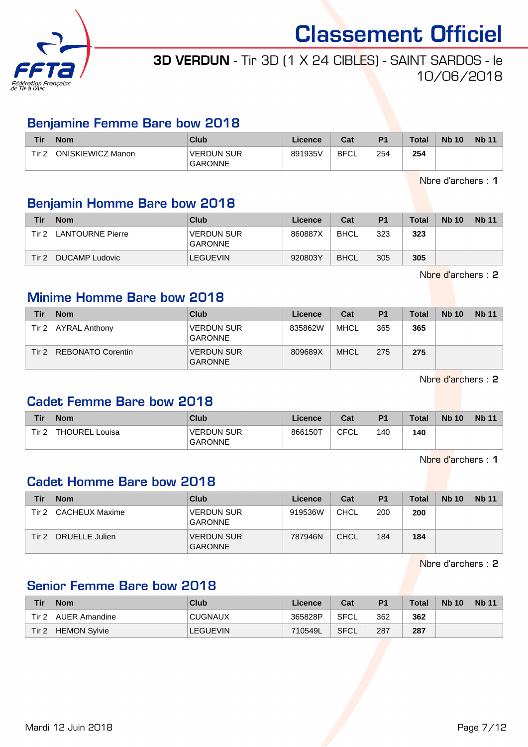

## 3D VERDUN - Tir 3D (1 X 24 CIBLES) - SAINT SARDOS - le 10/06/2018

#### Benjamine Femme Bare bow 2018

| <b>Tir</b> | <b>Nom</b>        | Club                                | Licence | Cat         | D <sub>1</sub> | <b>Total</b> | <b>Nb 10</b> | <b>Nb 11</b> |
|------------|-------------------|-------------------------------------|---------|-------------|----------------|--------------|--------------|--------------|
| Tir 2      | ONISKIEWICZ Manon | <b>VERDUN SUR</b><br><b>GARONNE</b> | 891935V | <b>BFCL</b> | 254            | 254          |              |              |

Nbre d'archers : 1

#### Benjamin Homme Bare bow 2018

| Tir   | <b>Nom</b>       | Club                                | Licence | Cat         | P <sub>1</sub> | <b>Total</b> | <b>Nb 10</b> | <b>Nb 11</b> |
|-------|------------------|-------------------------------------|---------|-------------|----------------|--------------|--------------|--------------|
| Tir 2 | LANTOURNE Pierre | <b>VERDUN SUR</b><br><b>GARONNE</b> | 860887X | <b>BHCL</b> | 323            | 323          |              |              |
| Tir 2 | DUCAMP Ludovic   | <b>LEGUEVIN</b>                     | 920803Y | <b>BHCL</b> | 305            | 305          |              |              |

Nbre d'archers : 2

#### Minime Homme Bare bow 2018

| Tir   | <b>Nom</b>               | Club                                | Licence | Cat         | P <sub>1</sub> | <b>Total</b> | <b>Nb 10</b> | <b>Nb</b> 11 |
|-------|--------------------------|-------------------------------------|---------|-------------|----------------|--------------|--------------|--------------|
| Tir 2 | <b>AYRAL Anthony</b>     | <b>VERDUN SUR</b><br><b>GARONNE</b> | 835862W | <b>MHCL</b> | 365            | 365          |              |              |
| Tir 2 | <b>REBONATO Corentin</b> | <b>VERDUN SUR</b><br><b>GARONNE</b> | 809689X | <b>MHCL</b> | 275            | 275          |              |              |

Nbre d'archers : 2

#### Cadet Femme Bare bow 2018

| Tir              | <b>Nom</b>                  | <b>Club</b>                         | Licence | Cat  | P <sub>1</sub> | <b>Total</b> | <b>Nb 10</b> | <b>Nb 11</b> |
|------------------|-----------------------------|-------------------------------------|---------|------|----------------|--------------|--------------|--------------|
| Tir <sub>2</sub> | <b>THOUREL L.</b><br>∟ouisa | <b>VERDUN SUR</b><br><b>GARONNE</b> | 866150T | CFCL | 140            | 140          |              |              |

Nbre d'archers : 1

#### Cadet Homme Bare bow 2018

| Tir   | <b>Nom</b>     | Club                                | Licence | Cat         | P <sub>1</sub> | <b>Total</b> | <b>Nb 10</b> | <b>Nb 11</b> |
|-------|----------------|-------------------------------------|---------|-------------|----------------|--------------|--------------|--------------|
| Tir 2 | CACHEUX Maxime | <b>VERDUN SUR</b><br><b>GARONNE</b> | 919536W | CHCL        | 200            | 200          |              |              |
| Tir 2 | DRUELLE Julien | VERDUN SUR<br><b>GARONNE</b>        | 787946N | <b>CHCL</b> | 184            | 184          |              |              |

Nbre d'archers : 2

#### Senior Femme Bare bow 2018

| Tir   | <b>Nom</b>    | Club            | Licence | Cat         | P <sub>1</sub> | Total | <b>Nb 10</b> | <b>Nb 11</b> |
|-------|---------------|-----------------|---------|-------------|----------------|-------|--------------|--------------|
| Tir 2 | AUER Amandine | <b>CUGNAUX</b>  | 365828P | <b>SFCL</b> | 362            | 362   |              |              |
| Tir 2 | HEMON Sylvie  | <b>LEGUEVIN</b> | 710549L | <b>SFCL</b> | 287            | 287   |              |              |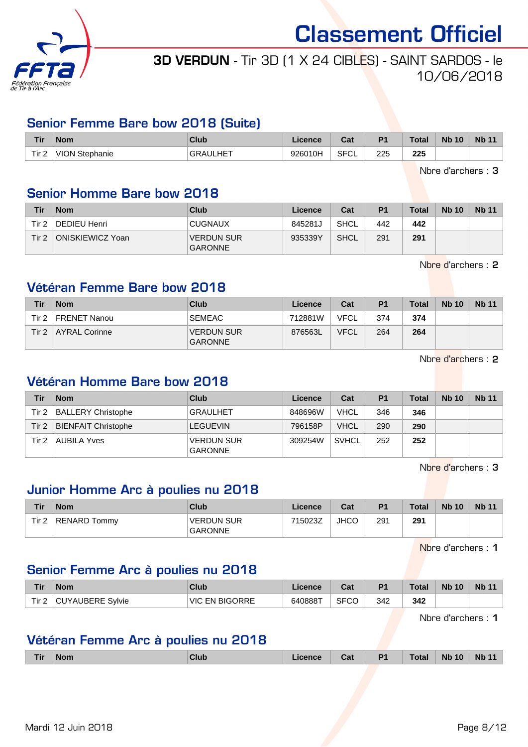

## 3D VERDUN - Tir 3D (1 X 24 CIBLES) - SAINT SARDOS - le 10/06/2018

#### Senior Femme Bare bow 2018 (Suite)

| Tir              | <b>Nom</b>            | Club         | icence  | ن م<br>⊍d   | D <sub>1</sub> | <b>Total</b> | <b>Nb 10</b> | <b>Nb 11</b> |
|------------------|-----------------------|--------------|---------|-------------|----------------|--------------|--------------|--------------|
| Tir <sub>2</sub> | <b>VION Stephanie</b> | .HET<br>GRAI | 926010H | <b>SFCL</b> | 225<br>___     | 225<br>__    |              |              |

Nbre d'archers : 3

#### Senior Homme Bare bow 2018

| Tir   | <b>Nom</b>       | Club                                | Licence | Cat         | P <sub>1</sub> | Total | <b>Nb 10</b> | <b>Nb 11</b> |
|-------|------------------|-------------------------------------|---------|-------------|----------------|-------|--------------|--------------|
| Tir 2 | DEDIEU Henri     | <b>CUGNAUX</b>                      | 845281J | <b>SHCL</b> | 442            | 442   |              |              |
| Tir 2 | ONISKIEWICZ Yoan | <b>VERDUN SUR</b><br><b>GARONNE</b> | 935339Y | <b>SHCL</b> | 291            | 291   |              |              |

Nbre d'archers : 2

#### Vétéran Femme Bare bow 2018

| Tir   | <b>Nom</b>    | Club                                | Licence | Cat         | P <sub>1</sub> | Total | <b>Nb 10</b> | <b>Nb 11</b> |
|-------|---------------|-------------------------------------|---------|-------------|----------------|-------|--------------|--------------|
| Tir 2 | FRENET Nanou  | <b>SEMEAC</b>                       | 712881W | VFCL        | 374            | 374   |              |              |
| Tir 2 | AYRAL Corinne | <b>VERDUN SUR</b><br><b>GARONNE</b> | 876563L | <b>VFCL</b> | 264            | 264   |              |              |

Nbre d'archers : 2

#### Vétéran Homme Bare bow 2018

| Tir   | <b>Nom</b>                 | Club                                | Licence | Cat          | P <sub>1</sub> | <b>Total</b> | <b>Nb 10</b> | <b>Nb 11</b> |
|-------|----------------------------|-------------------------------------|---------|--------------|----------------|--------------|--------------|--------------|
| Tir 2 | <b>BALLERY Christophe</b>  | <b>GRAULHET</b>                     | 848696W | VHCL         | 346            | 346          |              |              |
| Tir 2 | <b>BIENFAIT Christophe</b> | LEGUEVIN                            | 796158P | <b>VHCL</b>  | 290            | 290          |              |              |
| Tir 2 | AUBILA Yves                | <b>VERDUN SUR</b><br><b>GARONNE</b> | 309254W | <b>SVHCL</b> | 252            | 252          |              |              |

Nbre d'archers : 3

#### Junior Homme Arc à poulies nu 2018

| Tir              | <b>Nom</b>   | Club                                | Licence | Cat         | P <sub>1</sub> | Total | <b>Nb 10</b> | <b>Nb 11</b> |
|------------------|--------------|-------------------------------------|---------|-------------|----------------|-------|--------------|--------------|
| Tir <sub>2</sub> | RENARD Tommv | <b>VERDUN SUR</b><br><b>GARONNE</b> | 715023Z | <b>JHCC</b> | 291            | 291   |              |              |

Nbre d'archers : 1

#### Senior Femme Arc à poulies nu 2018

| Tir   | <b>Nom</b>       | Club                  | Licence | $\sim$<br>udl | P <sub>1</sub> | <b>Total</b> | <b>Nb 10</b> | <b>Nb 11</b> |
|-------|------------------|-----------------------|---------|---------------|----------------|--------------|--------------|--------------|
| Tir 2 | CUYAUBERE Sylvie | <b>VIC EN BIGORRE</b> | 640888T | <b>SFCC</b>   | 342            | 342          |              |              |

Nbre d'archers : 1

#### Vétéran Femme Arc à poulies nu 2018

| D <sub>1</sub><br>Club<br>Cat<br><b>Nom</b><br>cence<br>ſir | Total <sub>o</sub> | <b>N<sub>b</sub></b><br>10 | <b>Nb</b><br>- - - |
|-------------------------------------------------------------|--------------------|----------------------------|--------------------|
|-------------------------------------------------------------|--------------------|----------------------------|--------------------|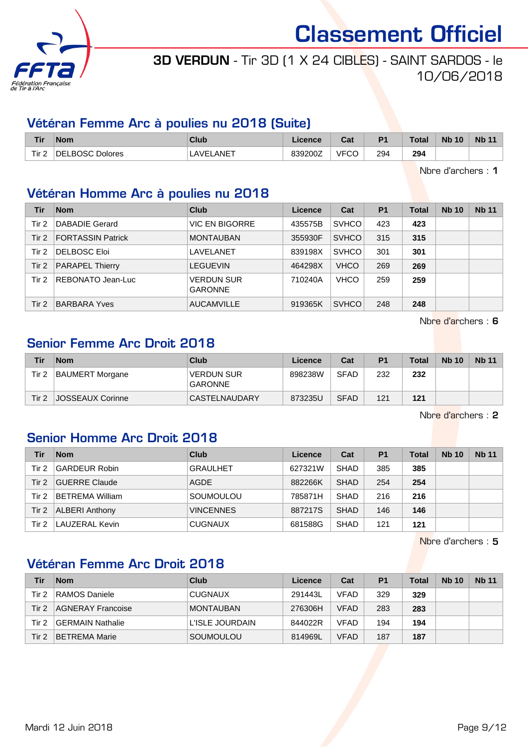

## 3D VERDUN - Tir 3D (1 X 24 CIBLES) - SAINT SARDOS - le 10/06/2018

#### Vétéran Femme Arc à poulies nu 2018 (Suite)

| Tir                   | <b>Nom</b>                       | Club            | icence  | ◠fi<br>va. | P <sub>1</sub> | <b>Total</b>         | <b>Nb 10</b> | <b>Nb 11</b> |
|-----------------------|----------------------------------|-----------------|---------|------------|----------------|----------------------|--------------|--------------|
| Tir <sub>2</sub><br>- | , ROSC.<br><b>Dolores</b><br>DEI | $\_ANET$<br>AVE | 839200Z | VFCC       | 294<br>__      | 294<br>$\sim$ $\sim$ |              |              |

Nbre d'archers : 1

#### Vétéran Homme Arc à poulies nu 2018

| Tir   | <b>Nom</b>               | Club                                | Licence | Cat          | P <sub>1</sub> | Total | <b>Nb 10</b> | <b>Nb 11</b> |
|-------|--------------------------|-------------------------------------|---------|--------------|----------------|-------|--------------|--------------|
| Tir 2 | DABADIE Gerard           | VIC EN BIGORRE                      | 435575B | <b>SVHCO</b> | 423            | 423   |              |              |
| Tir 2 | <b>FORTASSIN Patrick</b> | <b>MONTAUBAN</b>                    | 355930F | <b>SVHCO</b> | 315            | 315   |              |              |
| Tir 2 | DELBOSC Eloi             | LAVELANET                           | 839198X | <b>SVHCO</b> | 301            | 301   |              |              |
| Tir 2 | <b>PARAPEL Thierry</b>   | <b>LEGUEVIN</b>                     | 464298X | <b>VHCO</b>  | 269            | 269   |              |              |
| Tir 2 | REBONATO Jean-Luc        | <b>VERDUN SUR</b><br><b>GARONNE</b> | 710240A | <b>VHCO</b>  | 259            | 259   |              |              |
| Tir 2 | <b>BARBARA Yves</b>      | <b>AUCAMVILLE</b>                   | 919365K | <b>SVHCO</b> | 248            | 248   |              |              |

Nbre d'archers : 6

### Senior Femme Arc Droit 2018

| Tir   | <b>Nom</b>              | Club                                | Licence | Cat         | P <sub>1</sub> | <b>Total</b> | <b>Nb 10</b> | <b>Nb 11</b> |
|-------|-------------------------|-------------------------------------|---------|-------------|----------------|--------------|--------------|--------------|
| Tir 2 | BAUMERT Morgane         | <b>VERDUN SUR</b><br><b>GARONNE</b> | 898238W | <b>SFAD</b> | 232            | 232          |              |              |
| Tir 2 | <b>JOSSEAUX Corinne</b> | CASTELNAUDARY                       | 873235U | <b>SFAD</b> | 121            | 121          |              |              |

Nbre d'archers : 2

#### Senior Homme Arc Droit 2018

| Tir   | <b>Nom</b>             | Club             | Licence | Cat         | P <sub>1</sub> | <b>Total</b> | <b>Nb 10</b> | <b>Nb 11</b> |
|-------|------------------------|------------------|---------|-------------|----------------|--------------|--------------|--------------|
| Tir 2 | <b>GARDEUR Robin</b>   | <b>GRAULHET</b>  | 627321W | <b>SHAD</b> | 385            | 385          |              |              |
| Tir 2 | <b>GUERRE Claude</b>   | <b>AGDE</b>      | 882266K | <b>SHAD</b> | 254            | 254          |              |              |
| Tir 2 | <b>BETREMA William</b> | SOUMOULOU        | 785871H | <b>SHAD</b> | 216            | 216          |              |              |
| Tir 2 | <b>ALBERI Anthony</b>  | <b>VINCENNES</b> | 887217S | <b>SHAD</b> | 146            | 146          |              |              |
| Tir 2 | LAUZERAL Kevin         | <b>CUGNAUX</b>   | 681588G | <b>SHAD</b> | 121            | 121          |              |              |

Nbre d'archers : 5

#### Vétéran Femme Arc Droit 2018

| Tir   | <b>Nom</b>           | Club             | Licence | Cat         | P <sub>1</sub> | <b>Total</b> | <b>Nb 10</b> | <b>Nb 11</b> |
|-------|----------------------|------------------|---------|-------------|----------------|--------------|--------------|--------------|
| Tir 2 | RAMOS Daniele        | <b>CUGNAUX</b>   | 291443L | VFAD        | 329            | 329          |              |              |
| Tir 2 | AGNERAY Francoise    | <b>MONTAUBAN</b> | 276306H | <b>VFAD</b> | 283            | 283          |              |              |
| Tir 2 | GERMAIN Nathalie     | L'ISLE JOURDAIN  | 844022R | <b>VFAD</b> | 194            | 194          |              |              |
| Tir 2 | <b>BETREMA Marie</b> | SOUMOULOU        | 814969L | <b>VFAD</b> | 187            | 187          |              |              |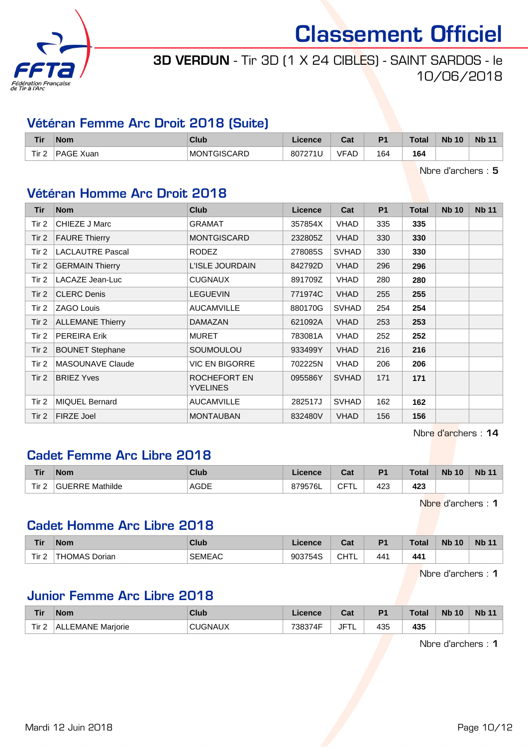

## 3D VERDUN - Tir 3D (1 X 24 CIBLES) - SAINT SARDOS - le 10/06/2018

#### Vétéran Femme Arc Droit 2018 (Suite)

| <b>Tir</b> | <b>Nom</b>      | Club               | icence  | $R_{\rm{min}}$<br>ual | D <sub>4</sub> | <b>Total</b> | <b>N<sub>b</sub></b><br>10 | <b>N<sub>b</sub></b> |
|------------|-----------------|--------------------|---------|-----------------------|----------------|--------------|----------------------------|----------------------|
| Tir 2      | D A<br>\GE Xuan | <b>MONTGISCARD</b> | 807271' | VFAD                  | 164<br>$ -$    | 164          |                            |                      |

Nbre d'archers : 5

#### Vétéran Homme Arc Droit 2018

| Tir      | <b>Nom</b>              | <b>Club</b>                     | <b>Licence</b> | Cat          | P <sub>1</sub> | Total | <b>Nb 10</b> | <b>Nb 11</b> |
|----------|-------------------------|---------------------------------|----------------|--------------|----------------|-------|--------------|--------------|
| Tir 2    | CHIEZE J Marc           | <b>GRAMAT</b>                   | 357854X        | <b>VHAD</b>  | 335            | 335   |              |              |
| Tir 2    | <b>FAURE Thierry</b>    | <b>MONTGISCARD</b>              | 232805Z        | <b>VHAD</b>  | 330            | 330   |              |              |
| Tir 2    | <b>LACLAUTRE Pascal</b> | RODEZ                           | 278085S        | <b>SVHAD</b> | 330            | 330   |              |              |
| Tir 2    | <b>GERMAIN Thierry</b>  | L'ISLE JOURDAIN                 | 842792D        | <b>VHAD</b>  | 296            | 296   |              |              |
| Tir 2    | LACAZE Jean-Luc         | <b>CUGNAUX</b>                  | 891709Z        | <b>VHAD</b>  | 280            | 280   |              |              |
| Tir $21$ | <b>CLERC Denis</b>      | <b>LEGUEVIN</b>                 | 771974C        | <b>VHAD</b>  | 255            | 255   |              |              |
| Tir 2    | ZAGO Louis              | <b>AUCAMVILLE</b>               | 880170G        | <b>SVHAD</b> | 254            | 254   |              |              |
| Tir $21$ | <b>ALLEMANE Thierry</b> | <b>DAMAZAN</b>                  | 621092A        | <b>VHAD</b>  | 253            | 253   |              |              |
| Tir $2$  | <b>PEREIRA Erik</b>     | <b>MURET</b>                    | 783081A        | <b>VHAD</b>  | 252            | 252   |              |              |
| Tir 2    | <b>BOUNET Stephane</b>  | SOUMOULOU                       | 933499Y        | <b>VHAD</b>  | 216            | 216   |              |              |
| Tir 2    | <b>MASOUNAVE Claude</b> | <b>VIC EN BIGORRE</b>           | 702225N        | <b>VHAD</b>  | 206            | 206   |              |              |
| Tir $21$ | <b>BRIEZ Yves</b>       | ROCHEFORT EN<br><b>YVELINES</b> | 095586Y        | <b>SVHAD</b> | 171            | 171   |              |              |
| Tir 2    | <b>MIQUEL Bernard</b>   | <b>AUCAMVILLE</b>               | 282517J        | <b>SVHAD</b> | 162            | 162   |              |              |
| Tir $21$ | <b>FIRZE Joel</b>       | <b>MONTAUBAN</b>                | 832480V        | <b>VHAD</b>  | 156            | 156   |              |              |

Nbre d'archers : 14

#### Cadet Femme Arc Libre 2018

| <b>Tir</b>            | <b>Nom</b>      | Club        | icence  | $R_{\rm{eff}}$<br>ual | D <sub>1</sub> | Total | <b>N<sub>b</sub></b><br>10 | <b>Nb 11</b> |
|-----------------------|-----------------|-------------|---------|-----------------------|----------------|-------|----------------------------|--------------|
| Tir <sub>2</sub><br>- | GUERRE Mathilde | <b>AGDE</b> | 379576L | ◠⊏⊤<br>ำ∟<br>◡        | 423            | 423   |                            |              |

Nbre d'archers : 1

#### Cadet Homme Arc Libre 2018

| <b>Tir</b> | <b>Nom</b>                      | Club          | Licence          | ◠⌒▴<br>ual | P <sub>1</sub> | <b>Total</b>         | <b>Nb</b><br>10 | <b>Nb 11</b> |
|------------|---------------------------------|---------------|------------------|------------|----------------|----------------------|-----------------|--------------|
| Tir 2      | HON.<br>Dorian<br>. 1 ^ C<br>nc | <b>SEMEAC</b> | $2027EAC$<br>545 | CHT'       | 441            | 441<br>$\sim$ $\sim$ |                 |              |

Nbre d'archers : 1

#### Junior Femme Arc Libre 2018

| Tir   | <b>Nom</b>           | Club    | cence             | <b>Take</b><br>⊍d | D <sub>4</sub> | Total | <b>N<sub>b</sub></b><br>10 | <b>Nb 11</b> |
|-------|----------------------|---------|-------------------|-------------------|----------------|-------|----------------------------|--------------|
| Tir 2 | EMANE Marjorie<br>ΑI | 'JGNAUX | $-738.37$<br>74 E | $JF^-$<br>. .     | 435            | 435   |                            |              |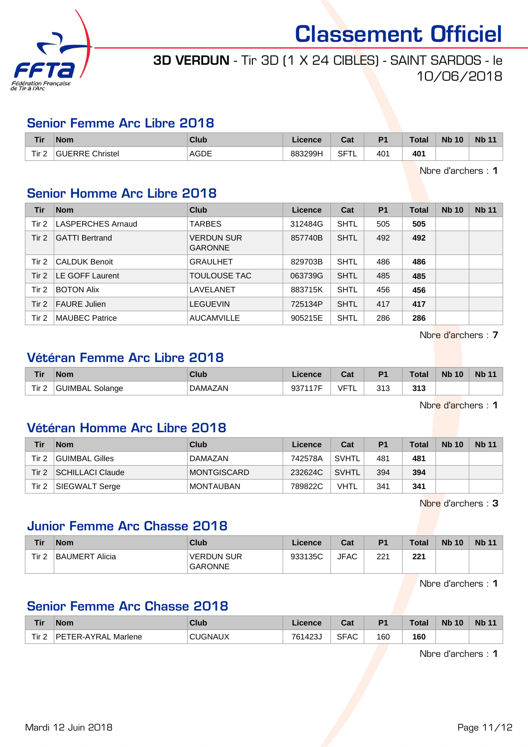

## 3D VERDUN - Tir 3D (1 X 24 CIBLES) - SAINT SARDOS - le 10/06/2018

#### Senior Femme Arc Libre 2018

| <b>Tir</b>            | <b>Nom</b>                   | Club                 | Licence | ◠fi<br>val            | D <sub>1</sub> | <b>Total</b> | <b>Nb</b><br>10 | <b>Nb 11</b> |
|-----------------------|------------------------------|----------------------|---------|-----------------------|----------------|--------------|-----------------|--------------|
| Tir <sub>2</sub><br>- | <sup>'</sup> 'JERRE Christel | <b>AGDE</b><br>_____ | 883299H | <b>SFTL</b><br>$\sim$ | 401<br>$\sim$  | 401<br>___   |                 |              |

Nbre d'archers : 1

### Senior Homme Arc Libre 2018

| Tir   | <b>Nom</b>            | Club                                | Licence | Cat         | <b>P1</b> | <b>Total</b> | <b>Nb 10</b> | <b>Nb 11</b> |
|-------|-----------------------|-------------------------------------|---------|-------------|-----------|--------------|--------------|--------------|
| Tir 2 | LASPERCHES Arnaud     | <b>TARBES</b>                       | 312484G | <b>SHTL</b> | 505       | 505          |              |              |
| Tir 2 | <b>GATTI Bertrand</b> | <b>VERDUN SUR</b><br><b>GARONNE</b> | 857740B | <b>SHTL</b> | 492       | 492          |              |              |
| Tir 2 | <b>CALDUK Benoit</b>  | <b>GRAULHET</b>                     | 829703B | SHTL        | 486       | 486          |              |              |
| Tir 2 | LE GOFF Laurent       | TOULOUSE TAC                        | 063739G | <b>SHTL</b> | 485       | 485          |              |              |
| Tir 2 | <b>BOTON Alix</b>     | LAVELANET                           | 883715K | <b>SHTL</b> | 456       | 456          |              |              |
| Tir 2 | <b>FAURE Julien</b>   | <b>LEGUEVIN</b>                     | 725134P | SHTL        | 417       | 417          |              |              |
| Tir 2 | <b>MAUBEC Patrice</b> | <b>AUCAMVILLE</b>                   | 905215E | SHTL        | 286       | 286          |              |              |

Nbre d'archers : 7

#### Vétéran Femme Arc Libre 2018

| Tir              | <b>Nom</b>             | <b>Club</b>    | Licence | Cat | P <sub>1</sub> | Total | <b>N<sub>b</sub></b><br>10 | <b>Nb 11</b> |
|------------------|------------------------|----------------|---------|-----|----------------|-------|----------------------------|--------------|
| Tir <sub>2</sub> | <b>GUIMBAL Solange</b> | <b>DAMAZAN</b> | 937117F | /ET | 313            | 313   |                            |              |

Nbre d'archers : 1

#### Vétéran Homme Arc Libre 2018

| Tir   | <b>Nom</b>            | Club             | Licence | Cat          | P <sub>1</sub> | <b>Total</b> | <b>Nb 10</b> | <b>Nb 11</b> |
|-------|-----------------------|------------------|---------|--------------|----------------|--------------|--------------|--------------|
| Tir 2 | GUIMBAL Gilles        | DAMAZAN          | 742578A | <b>SVHTL</b> | 481            | 481          |              |              |
| Tir 2 | SCHILLACI Claude      | MONTGISCARD      | 232624C | <b>SVHTL</b> | 394            | 394          |              |              |
| Tir 2 | <b>SIEGWALT Serge</b> | <b>MONTAUBAN</b> | 789822C | <b>VHTL</b>  | 341            | 341          |              |              |

Nbre d'archers : 3

#### Junior Femme Arc Chasse 2018

| Tir   | <b>Nom</b>               | Club                                | <b>Licence</b> | Cat         | P <sub>1</sub> | $\tau$ otal | <b>Nb 10</b> | <b>Nb 11</b> |
|-------|--------------------------|-------------------------------------|----------------|-------------|----------------|-------------|--------------|--------------|
| Tir 2 | <b>BAUMERT</b><br>Alicia | <b>VERDUN SUR</b><br><b>GARONNE</b> | 933135C        | <b>JFAC</b> | 221            | 221         |              |              |

Nbre d'archers : 1

#### Senior Femme Arc Chasse 2018

| Tir              | <b>Nom</b>                    | Club           | Licence | ن م<br>⊍d   | P <sub>1</sub> | <b>Total</b> | <b>Nb 10</b> | <b>Nb</b> |
|------------------|-------------------------------|----------------|---------|-------------|----------------|--------------|--------------|-----------|
| Tir <sub>2</sub> | <b>PETER-AYRAL</b><br>Marlene | <b>CUGNAUX</b> | 761423  | <b>SFAC</b> | 160            | 160          |              |           |